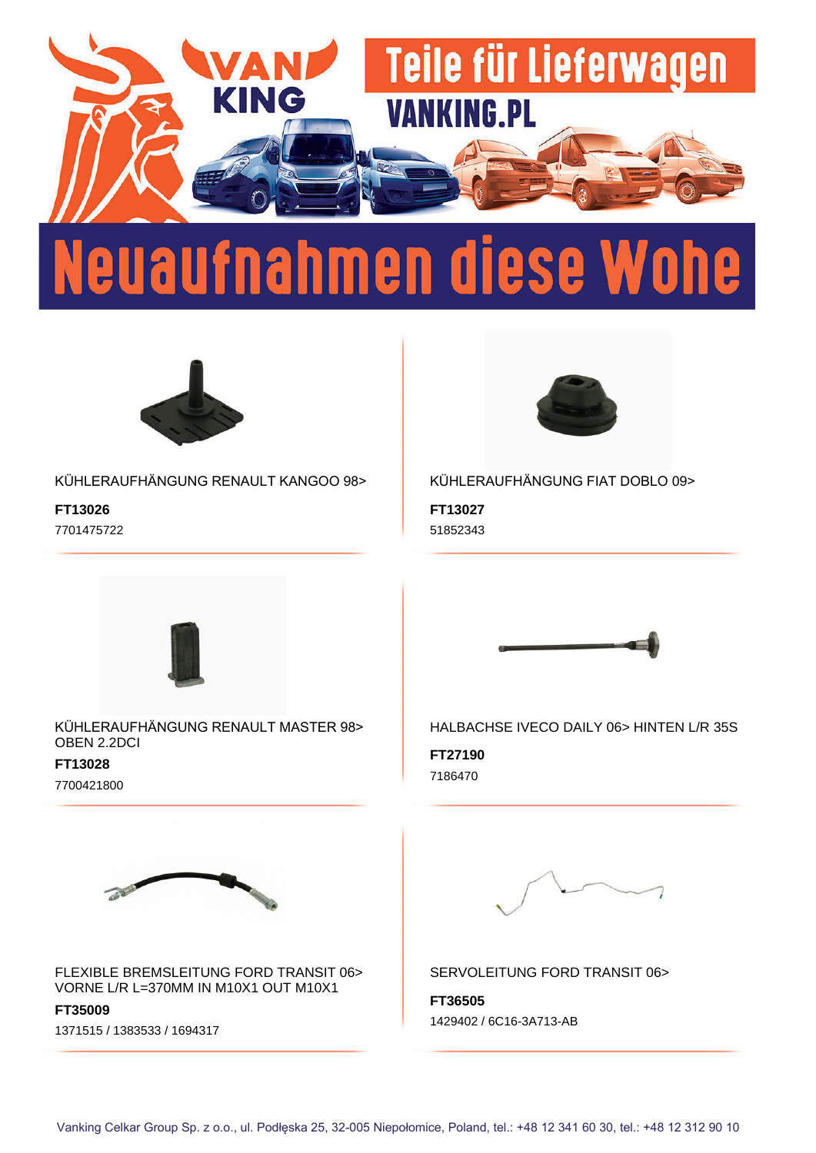



KÜHLERAUFHÄNGUNG RENAULT KANGOO 98>

**FT13026** 7701475722



KÜHLERAUFHÄNGUNG FIAT DOBLO 09>

**FT13027** 51852343



KÜHLERAUFHÄNGUNG RENAULT MASTER 98> OBEN 2.2DCI

**FT13028** 7700421800



FLEXIBLE BREMSLEITUNG FORD TRANSIT 06> VORNE L/R L=370MM IN M10X1 OUT M10X1

**FT35009** 1371515 / 1383533 / 1694317



HALBACHSE IVECO DAILY 06> HINTEN L/R 35S

**FT27190** 7186470



SERVOLEITUNG FORD TRANSIT 06>

**FT36505** 1429402 / 6C16-3A713-AB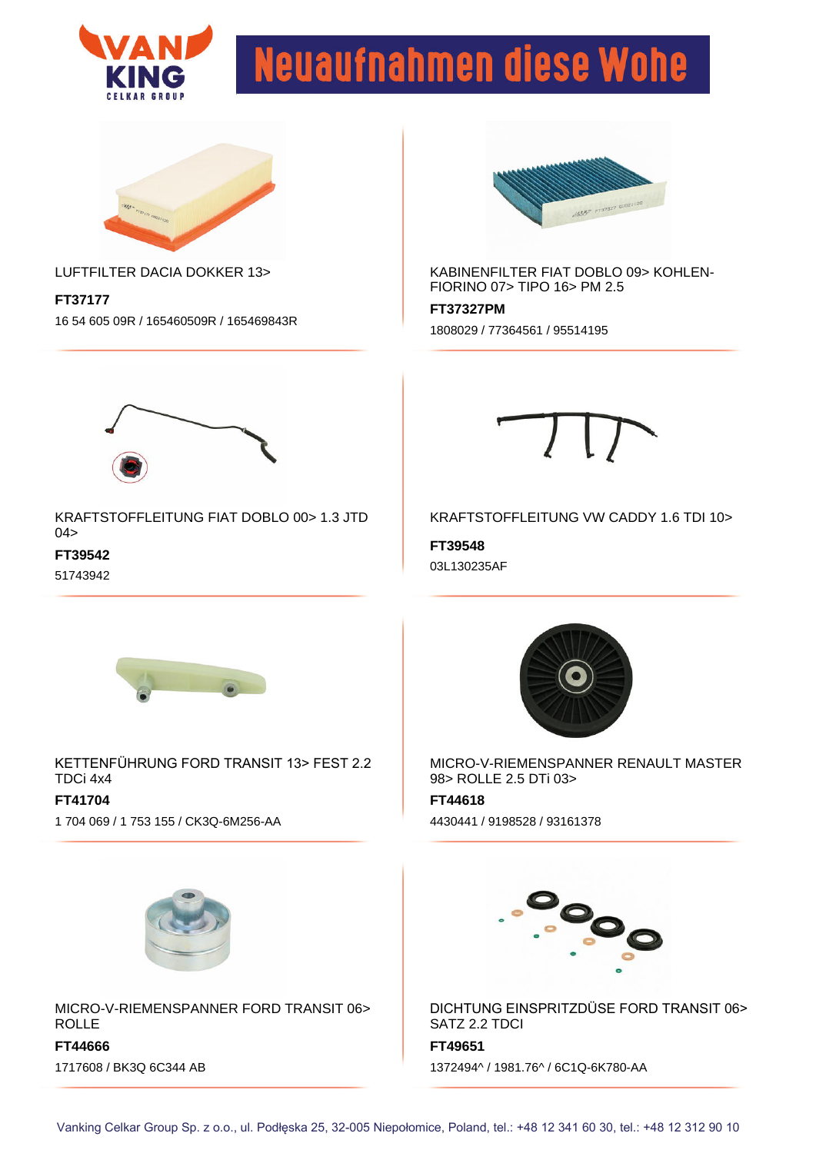



#### LUFTFILTER DACIA DOKKER 13>

**FT37177** 16 54 605 09R / 165460509R / 165469843R



KABINENFILTER FIAT DOBLO 09> KOHLEN-FIORINO 07> TIPO 16> PM 2.5

**FT37327PM** 1808029 / 77364561 / 95514195



KRAFTSTOFFLEITUNG FIAT DOBLO 00> 1.3 JTD 04>

**FT39542**

51743942



KRAFTSTOFFLEITUNG VW CADDY 1.6 TDI 10>

**FT39548** 03L130235AF



KETTENFÜHRUNG FORD TRANSIT 13> FEST 2.2 TDCi 4x4 **FT41704** 1 704 069 / 1 753 155 / CK3Q-6M256-AA



MICRO-V-RIEMENSPANNER RENAULT MASTER 98> ROLLE 2.5 DTi 03>

**FT44618** 4430441 / 9198528 / 93161378



MICRO-V-RIEMENSPANNER FORD TRANSIT 06> ROLLE

**FT44666** 1717608 / BK3Q 6C344 AB



DICHTUNG EINSPRITZDÜSE FORD TRANSIT 06> SATZ 2.2 TDCI

**FT49651**

1372494^ / 1981.76^ / 6C1Q-6K780-AA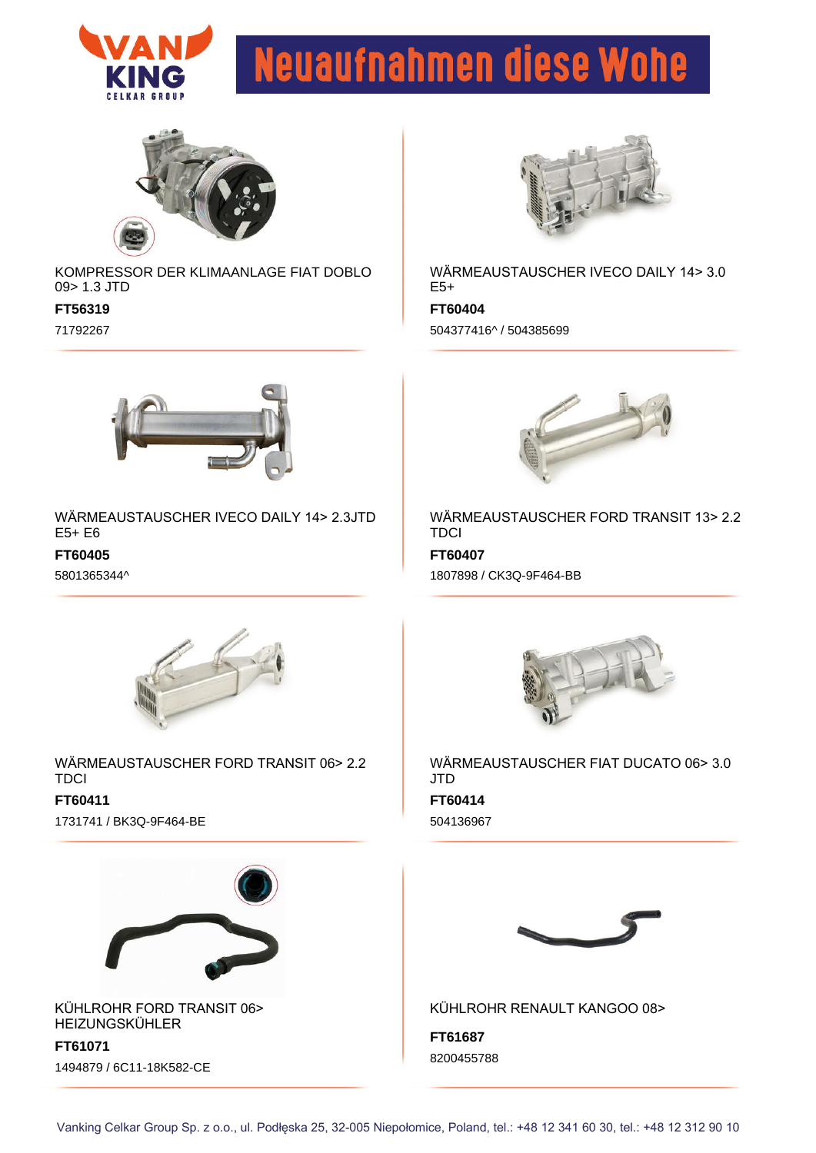



KOMPRESSOR DER KLIMAANLAGE FIAT DOBLO 09> 1.3 JTD

**FT56319**

71792267



WÄRMEAUSTAUSCHER IVECO DAILY 14> 3.0  $E5+$ 

**FT60404** 504377416^ / 504385699



WÄRMEAUSTAUSCHER IVECO DAILY 14> 2.3JTD E5+ E6

**FT60405**

5801365344^



**FT60407** WÄRMEAUSTAUSCHER FORD TRANSIT 13> 2.2 **TDCI** 1807898 / CK3Q-9F464-BB



WÄRMEAUSTAUSCHER FORD TRANSIT 06> 2.2 **TDCI FT60411** 1731741 / BK3Q-9F464-BE



KÜHLROHR FORD TRANSIT 06> HEIZUNGSKÜHLER

**FT61071** 1494879 / 6C11-18K582-CE



**FT60414** WÄRMEAUSTAUSCHER FIAT DUCATO 06> 3.0 JTD 504136967



KÜHLROHR RENAULT KANGOO 08>

**FT61687** 8200455788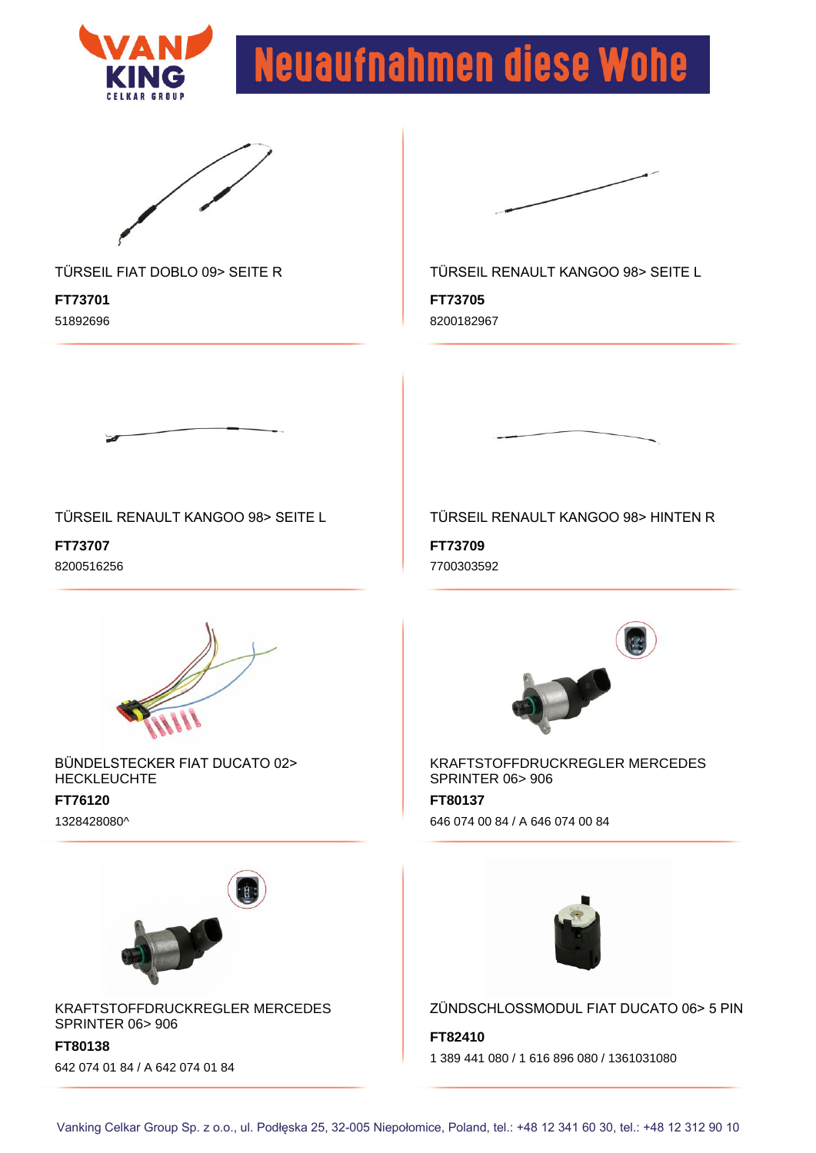



### TÜRSEIL FIAT DOBLO 09> SEITE R

**FT73701** 51892696



TÜRSEIL RENAULT KANGOO 98> SEITE L

**FT73705** 8200182967



**FT73707** 8200516256



BÜNDELSTECKER FIAT DUCATO 02> HECKLEUCHTE

#### **FT76120** 1328428080^



KRAFTSTOFFDRUCKREGLER MERCEDES SPRINTER 06> 906

**FT80138** 642 074 01 84 / A 642 074 01 84

### TÜRSEIL RENAULT KANGOO 98> HINTEN R

**FT73709** 7700303592



KRAFTSTOFFDRUCKREGLER MERCEDES SPRINTER 06> 906

**FT80137** 646 074 00 84 / A 646 074 00 84



ZÜNDSCHLOSSMODUL FIAT DUCATO 06> 5 PIN

**FT82410** 1 389 441 080 / 1 616 896 080 / 1361031080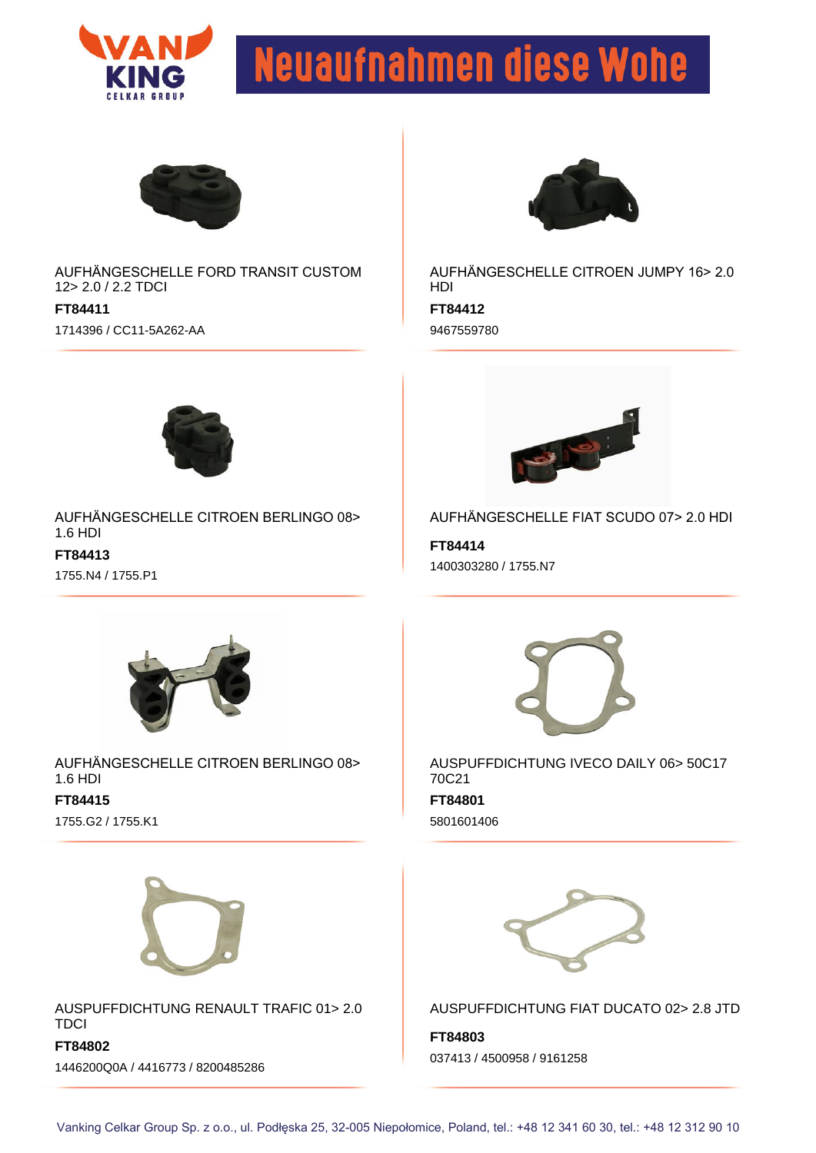



AUFHÄNGESCHELLE FORD TRANSIT CUSTOM 12> 2.0 / 2.2 TDCI

**FT84411** 1714396 / CC11-5A262-AA



AUFHÄNGESCHELLE CITROEN JUMPY 16> 2.0 HDI

**FT84412** 9467559780



AUFHÄNGESCHELLE CITROEN BERLINGO 08> 1.6 HDI **FT84413** 1755.N4 / 1755.P1



AUFHÄNGESCHELLE FIAT SCUDO 07> 2.0 HDI

**FT84414** 1400303280 / 1755.N7



AUFHÄNGESCHELLE CITROEN BERLINGO 08> 1.6 HDI **FT84415** 1755.G2 / 1755.K1



**FT84801** AUSPUFFDICHTUNG IVECO DAILY 06> 50C17 70C21 5801601406



AUSPUFFDICHTUNG RENAULT TRAFIC 01> 2.0 **TDCI** 

**FT84802** 1446200Q0A / 4416773 / 8200485286



AUSPUFFDICHTUNG FIAT DUCATO 02> 2.8 JTD

**FT84803** 037413 / 4500958 / 9161258